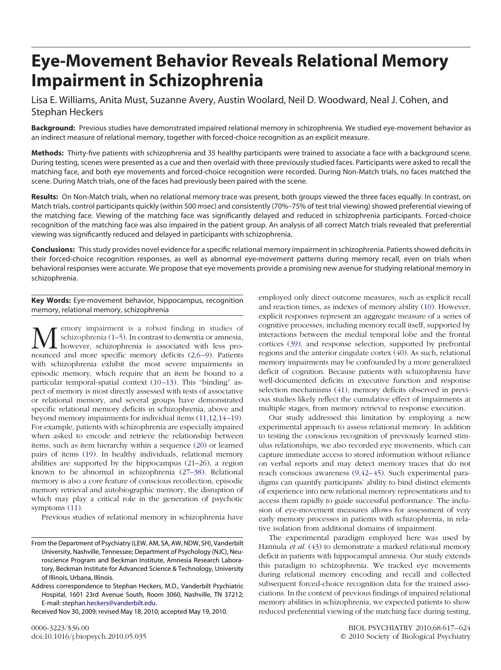# **Eye-Movement Behavior Reveals Relational Memory Impairment in Schizophrenia**

Lisa E. Williams, Anita Must, Suzanne Avery, Austin Woolard, Neil D. Woodward, Neal J. Cohen, and Stephan Heckers

**Background:** Previous studies have demonstrated impaired relational memory in schizophrenia. We studied eye-movement behavior as an indirect measure of relational memory, together with forced-choice recognition as an explicit measure.

**Methods:** Thirty-five patients with schizophrenia and 35 healthy participants were trained to associate a face with a background scene. During testing, scenes were presented as a cue and then overlaid with three previously studied faces. Participants were asked to recall the matching face, and both eye movements and forced-choice recognition were recorded. During Non*-*Match trials, no faces matched the scene. During Match trials, one of the faces had previously been paired with the scene.

**Results:** On Non*-*Match trials, when no relational memory trace was present, both groups viewed the three faces equally. In contrast, on Match trials, control participants quickly (within 500 msec) and consistently (70%–75% of test trial viewing) showed preferential viewing of the matching face. Viewing of the matching face was significantly delayed and reduced in schizophrenia participants. Forced-choice recognition of the matching face was also impaired in the patient group. An analysis of all correct Match trials revealed that preferential viewing was significantly reduced and delayed in participants with schizophrenia.

**Conclusions:** This study provides novel evidence for a specific relational memory impairment in schizophrenia. Patients showed deficits in their forced-choice recognition responses, as well as abnormal eye-movement patterns during memory recall, even on trials when behavioral responses were accurate. We propose that eye movements provide a promising new avenue for studying relational memory in schizophrenia.

**Key Words:** Eye-movement behavior, hippocampus, recognition memory, relational memory, schizophrenia

 $\sum$  emory impairment is a robust finding in studies of schizophrenia (1–5). In contrast to dementia or amnesia, however, schizophrenia is associated with less pronounced and more specific memory deficits (2.6–9) Patients schizophrenia (1–5). In contrast to dementia or amnesia, however, schizophrenia is associated with less pronounced and more specific memory deficits (2,6-9). Patients with schizophrenia exhibit the most severe impairments in episodic memory, which require that an item be bound to a particular temporal-spatial context (10-13). This "binding" aspect of memory is most directly assessed with tests of associative or relational memory, and several groups have demonstrated specific relational memory deficits in schizophrenia, above and beyond memory impairments for individual items (11,12,14 –19). For example, patients with schizophrenia are especially impaired when asked to encode and retrieve the relationship between items, such as item hierarchy within a sequence (20) or learned pairs of items (19). In healthy individuals, relational memory abilities are supported by the hippocampus (21–26), a region known to be abnormal in schizophrenia (27–38). Relational memory is also a core feature of conscious recollection, episodic memory retrieval and autobiographic memory, the disruption of which may play a critical role in the generation of psychotic symptoms (11).

Previous studies of relational memory in schizophrenia have

Address correspondence to Stephan Heckers, M.D., Vanderbilt Psychiatric Hospital, 1601 23rd Avenue South, Room 3060, Nashville, TN 37212; E-mail: [stephan.heckers@vanderbilt.edu.](mailto:stephan.heckers@vanderbilt.edu)

Received Nov 30, 2009; revised May 18, 2010; accepted May 19, 2010.

employed only direct outcome measures, such as explicit recall and reaction times, as indexes of memory ability (10). However, explicit responses represent an aggregate measure of a series of cognitive processes, including memory recall itself, supported by interactions between the medial temporal lobe and the frontal cortices (39), and response selection, supported by prefrontal regions and the anterior cingulate cortex (40). As such, relational memory impairments may be confounded by a more generalized deficit of cognition. Because patients with schizophrenia have well-documented deficits in executive function and response selection mechanisms (41), memory deficits observed in previous studies likely reflect the cumulative effect of impairments at multiple stages, from memory retrieval to response execution.

Our study addressed this limitation by employing a new experimental approach to assess relational memory. In addition to testing the conscious recognition of previously learned stimulus relationships, we also recorded eye movements, which can capture immediate access to stored information without reliance on verbal reports and may detect memory traces that do not reach conscious awareness (9,42–45). Such experimental paradigms can quantify participants' ability to bind distinct elements of experience into new relational memory representations and to access them rapidly to guide successful performance. The inclusion of eye-movement measures allows for assessment of very early memory processes in patients with schizophrenia, in relative isolation from additional domains of impairment.

The experimental paradigm employed here was used by Hannula *et al.* (43) to demonstrate a marked relational memory deficit in patients with hippocampal amnesia. Our study extends this paradigm to schizophrenia. We tracked eye movements during relational memory encoding and recall and collected subsequent forced-choice recognition data for the trained associations. In the context of previous findings of impaired relational memory abilities in schizophrenia, we expected patients to show reduced preferential viewing of the matching face during testing,

From the Department of Psychiatry (LEW, AM, SA, AW, NDW, SH), Vanderbilt University, Nashville, Tennessee; Department of Psychology (NJC), Neuroscience Program and Beckman Institute, Amnesia Research Laboratory, Beckman Institute for Advanced Science & Technology, University of Illinois, Urbana, Illinois.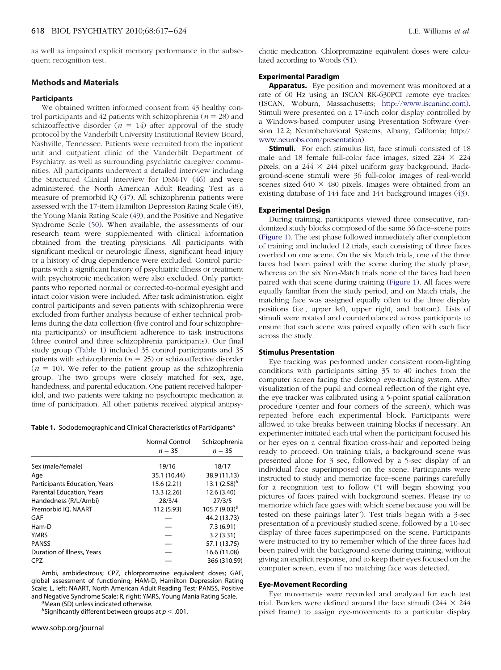as well as impaired explicit memory performance in the subsequent recognition test.

## **Methods and Materials**

## **Participants**

We obtained written informed consent from 43 healthy control participants and 42 patients with schizophrenia ( $n = 28$ ) and schizoaffective disorder ( $n = 14$ ) after approval of the study protocol by the Vanderbilt University Institutional Review Board, Nashville, Tennessee. Patients were recruited from the inpatient unit and outpatient clinic of the Vanderbilt Department of Psychiatry, as well as surrounding psychiatric caregiver communities. All participants underwent a detailed interview including the Structured Clinical Interview for DSM-IV (46) and were administered the North American Adult Reading Test as a measure of premorbid IQ (47). All schizophrenia patients were assessed with the 17-item Hamilton Depression Rating Scale (48), the Young Mania Rating Scale (49), and the Positive and Negative Syndrome Scale (50). When available, the assessments of our research team were supplemented with clinical information obtained from the treating physicians. All participants with significant medical or neurologic illness, significant head injury or a history of drug dependence were excluded. Control participants with a significant history of psychiatric illness or treatment with psychotropic medication were also excluded. Only participants who reported normal or corrected-to-normal eyesight and intact color vision were included. After task administration, eight control participants and seven patients with schizophrenia were excluded from further analysis because of either technical problems during the data collection (five control and four schizophrenia participants) or insufficient adherence to task instructions (three control and three schizophrenia participants). Our final study group (Table 1) included 35 control participants and 35 patients with schizophrenia ( $n = 25$ ) or schizoaffective disorder  $(n = 10)$ . We refer to the patient group as the schizophrenia group. The two groups were closely matched for sex, age, handedness, and parental education. One patient received haloperidol, and two patients were taking no psychotropic medication at time of participation. All other patients received atypical antipsy-

**Table 1.** Sociodemographic and Clinical Characteristics of Participants*<sup>a</sup>*

|                                      | <b>Normal Control</b><br>$n = 35$ | Schizophrenia<br>$n = 35$ |
|--------------------------------------|-----------------------------------|---------------------------|
| Sex (male/female)                    | 19/16                             | 18/17                     |
| Age                                  | 35.1 (10.44)                      | 38.9 (11.13)              |
| <b>Participants Education, Years</b> | 15.6 (2.21)                       | 13.1 $(2.58)^b$           |
| <b>Parental Education, Years</b>     | 13.3 (2.26)                       | 12.6 (3.40)               |
| Handedness (R/L/Ambi)                | 28/3/4                            | 27/3/5                    |
| Premorbid IO, NAART                  | 112 (5.93)                        | $105.7(9.03)^b$           |
| GAF                                  |                                   | 44.2 (13.73)              |
| Ham-D                                |                                   | 7.3(6.91)                 |
| <b>YMRS</b>                          |                                   | 3.2(3.31)                 |
| <b>PANSS</b>                         |                                   | 57.1 (13.75)              |
| Duration of Illness, Years           |                                   | 16.6 (11.08)              |
| <b>CPZ</b>                           |                                   | 366 (310.59)              |

Ambi, ambidextrous; CPZ, chlorpromazine equivalent doses; GAF, global assessment of functioning; HAM-D, Hamilton Depression Rating Scale; L, left; NAART, North American Adult Reading Test; PANSS, Positive and Negative Syndrome Scale; R, right; YMRS, Young Mania Rating Scale. *<sup>a</sup>*

<sup>a</sup>Mean (SD) unless indicated otherwise.

 $b$ Significantly different between groups at  $p < .001$ .

chotic medication. Chlorpromazine equivalent doses were calculated according to Woods (51).

# **Experimental Paradigm**

**Apparatus.** Eye position and movement was monitored at a rate of 60 Hz using an ISCAN RK-630PCI remote eye tracker (ISCAN, Woburn, Massachusetts; [http://www.iscaninc.com\)](http://www.iscaninc.com). Stimuli were presented on a 17-inch color display controlled by a Windows-based computer using Presentation Software (version 12.2; Neurobehavioral Systems, Albany, California; [http://](http://www.neurobs.com/presentation) [www.neurobs.com/presentation\)](http://www.neurobs.com/presentation).

**Stimuli.** For each stimulus list, face stimuli consisted of 18 male and 18 female full-color face images, sized  $224 \times 224$ pixels, on a  $244 \times 244$  pixel uniform gray background. Background-scene stimuli were 36 full-color images of real-world scenes sized  $640 \times 480$  pixels. Images were obtained from an existing database of 144 face and 144 background images (43).

#### **Experimental Design**

During training, participants viewed three consecutive, randomized study blocks composed of the same 36 face–scene pairs (Figure 1). The test phase followed immediately after completion of training and included 12 trials, each consisting of three faces overlaid on one scene. On the six Match trials, one of the three faces had been paired with the scene during the study phase, whereas on the six Non*-*Match trials none of the faces had been paired with that scene during training (Figure 1). All faces were equally familiar from the study period, and on Match trials, the matching face was assigned equally often to the three display positions (i.e., upper left, upper right, and bottom). Lists of stimuli were rotated and counterbalanced across participants to ensure that each scene was paired equally often with each face across the study.

#### **Stimulus Presentation**

Eye tracking was performed under consistent room-lighting conditions with participants sitting 35 to 40 inches from the computer screen facing the desktop eye-tracking system. After visualization of the pupil and corneal reflection of the right eye, the eye tracker was calibrated using a 5-point spatial calibration procedure (center and four corners of the screen), which was repeated before each experimental block. Participants were allowed to take breaks between training blocks if necessary. An experimenter initiated each trial when the participant focused his or her eyes on a central fixation cross-hair and reported being ready to proceed. On training trials, a background scene was presented alone for 3 sec, followed by a 5-sec display of an individual face superimposed on the scene. Participants were instructed to study and memorize face–scene pairings carefully for a recognition test to follow ("I will begin showing you pictures of faces paired with background scenes. Please try to memorize which face goes with which scene because you will be tested on these pairings later"). Test trials began with a 3-sec presentation of a previously studied scene, followed by a 10-sec display of three faces superimposed on the scene. Participants were instructed to try to remember which of the three faces had been paired with the background scene during training, without giving an explicit response, and to keep their eyes focused on the computer screen, even if no matching face was detected.

#### **Eye-Movement Recording**

Eye movements were recorded and analyzed for each test trial. Borders were defined around the face stimuli (244  $\times$  244 pixel frame) to assign eye-movements to a particular display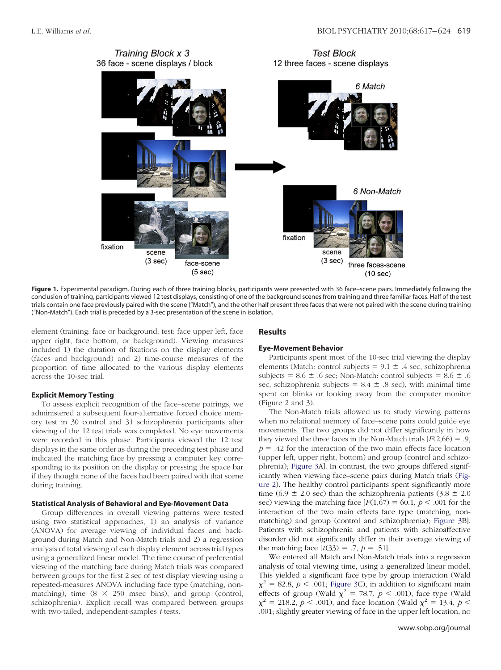

Figure 1. Experimental paradigm. During each of three training blocks, participants were presented with 36 face-scene pairs. Immediately following the conclusion of training, participants viewed 12 test displays, consisting of one of the background scenes from training and three familiar faces. Half of the test trials contain one face previously paired with the scene ("Match"), and the other half present three faces that were not paired with the scene during training ("Non*-*Match"). Each trial is preceded by a 3-sec presentation of the scene in isolation.

element (training: face or background; test: face upper left, face upper right, face bottom, or background). Viewing measures included 1) the duration of fixations on the display elements (faces and background) and 2) time-course measures of the proportion of time allocated to the various display elements across the 10-sec trial.

## **Explicit Memory Testing**

To assess explicit recognition of the face–scene pairings, we administered a subsequent four-alternative forced choice memory test in 30 control and 31 schizophrenia participants after viewing of the 12 test trials was completed. No eye movements were recorded in this phase. Participants viewed the 12 test displays in the same order as during the preceding test phase and indicated the matching face by pressing a computer key corresponding to its position on the display or pressing the space bar if they thought none of the faces had been paired with that scene during training.

## **Statistical Analysis of Behavioral and Eye-Movement Data**

Group differences in overall viewing patterns were tested using two statistical approaches, 1) an analysis of variance (ANOVA) for average viewing of individual faces and background during Match and Non*-*Match trials and 2) a regression analysis of total viewing of each display element across trial types using a generalized linear model. The time course of preferential viewing of the matching face during Match trials was compared between groups for the first 2 sec of test display viewing using a repeated-measures ANOVA including face type (matching, nonmatching), time  $(8 \times 250$  msec bins), and group (control, schizophrenia). Explicit recall was compared between groups with two-tailed, independent-samples *t* tests.

#### **Results**

#### **Eye-Movement Behavior**

Participants spent most of the 10-sec trial viewing the display elements (Match: control subjects =  $9.1 \pm .4$  sec, schizophrenia subjects =  $8.6 \pm .6$  sec; Non-Match: control subjects =  $8.6 \pm .6$ sec, schizophrenia subjects =  $8.4 \pm .8$  sec), with minimal time spent on blinks or looking away from the computer monitor (Figure 2 and 3).

The Non*-*Match trials allowed us to study viewing patterns when no relational memory of face–scene pairs could guide eye movements. The two groups did not differ significantly in how they viewed the three faces in the Non-Match trials  $[F(2,66) = .9,$  $p = .42$  for the interaction of the two main effects face location (upper left, upper right, bottom) and group (control and schizophrenia); Figure 3A]. In contrast, the two groups differed significantly when viewing face–scene pairs during Match trials (Figure 2). The healthy control participants spent significantly more time (6.9  $\pm$  2.0 sec) than the schizophrenia patients (3.8  $\pm$  2.0 sec) viewing the matching face  $[F(1,67) = 60.1, p < .001$  for the interaction of the two main effects face type (matching, nonmatching) and group (control and schizophrenia); Figure 3B]. Patients with schizophrenia and patients with schizoaffective disorder did not significantly differ in their average viewing of the matching face  $[t(33) = .7, p = .51]$ .

We entered all Match and Non*-*Match trials into a regression analysis of total viewing time, using a generalized linear model. This yielded a significant face type by group interaction (Wald  $\chi^2$  = 82.8, *p* < .001; Figure 3C), in addition to significant main effects of group (Wald  $\chi^2$  = 78.7, *p* < .001), face type (Wald  $\chi^2$  = 218.2, *p* < .001), and face location (Wald  $\chi^2$  = 13.4, *p* < .001; slightly greater viewing of face in the upper left location, no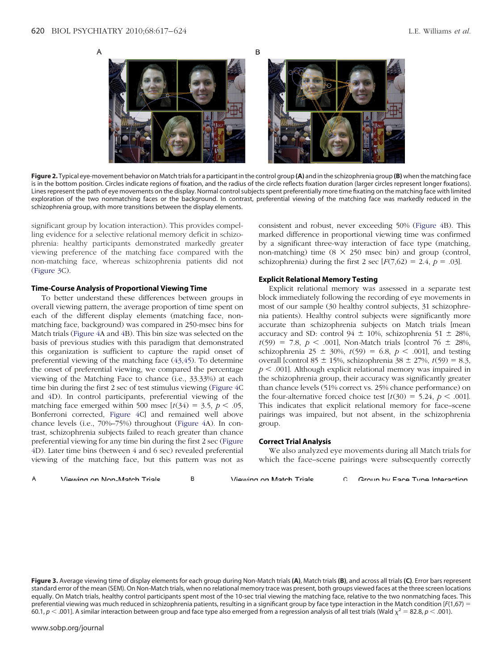

**Figure 2.** Typical eye-movement behavior on Match trials for a participant in the control group **(A)** and in the schizophrenia group **(B)** when the matching face is in the bottom position. Circles indicate regions of fixation, and the radius of the circle reflects fixation duration (larger circles represent longer fixations). Lines represent the path of eye movements on the display. Normal control subjects spent preferentially more time fixating on the matching face with limited exploration of the two nonmatching faces or the background. In contrast, preferential viewing of the matching face was markedly reduced in the schizophrenia group, with more transitions between the display elements.

significant group by location interaction). This provides compelling evidence for a selective relational memory deficit in schizophrenia: healthy participants demonstrated markedly greater viewing preference of the matching face compared with the non-matching face, whereas schizophrenia patients did not (Figure 3C).

## **Time-Course Analysis of Proportional Viewing Time**

To better understand these differences between groups in overall viewing pattern, the average proportion of time spent on each of the different display elements (matching face, nonmatching face, background) was compared in 250-msec bins for Match trials (Figure 4A and 4B). This bin size was selected on the basis of previous studies with this paradigm that demonstrated this organization is sufficient to capture the rapid onset of preferential viewing of the matching face (43,45). To determine the onset of preferential viewing, we compared the percentage viewing of the Matching Face to chance (i.e., 33.33%) at each time bin during the first 2 sec of test stimulus viewing (Figure 4C and 4D). In control participants, preferential viewing of the matching face emerged within 500 msec  $[t(34) = 3.5, p < .05,$ Bonferroni corrected, Figure 4C] and remained well above chance levels (i.e., 70%–75%) throughout (Figure 4A). In contrast, schizophrenia subjects failed to reach greater than chance preferential viewing for any time bin during the first 2 sec (Figure 4D). Later time bins (between 4 and 6 sec) revealed preferential viewing of the matching face, but this pattern was not as consistent and robust, never exceeding 50% (Figure 4B). This marked difference in proportional viewing time was confirmed by a significant three-way interaction of face type (matching, non-matching) time  $(8 \times 250$  msec bin) and group (control, schizophrenia) during the first 2 sec  $[F(7,62) = 2.4, p = .03]$ .

#### **Explicit Relational Memory Testing**

Explicit relational memory was assessed in a separate test block immediately following the recording of eye movements in most of our sample (30 healthy control subjects, 31 schizophrenia patients). Healthy control subjects were significantly more accurate than schizophrenia subjects on Match trials [mean accuracy and SD: control 94  $\pm$  10%, schizophrenia 51  $\pm$  28%,  $t(59) = 7.8, p < .001$ , Non-Match trials [control 76  $\pm$  28%, schizophrenia 25  $\pm$  30%,  $t(59) = 6.8$ ,  $p < .001$ , and testing overall [control 85  $\pm$  15%, schizophrenia 38  $\pm$  27%,  $t(59) = 8.3$ ,  $p < .001$ ]. Although explicit relational memory was impaired in the schizophrenia group, their accuracy was significantly greater than chance levels (51% correct vs. 25% chance performance) on the four-alternative forced choice test  $[t(30) = 5.24, p < .001]$ . This indicates that explicit relational memory for face–scene pairings was impaired, but not absent, in the schizophrenia group.

#### **Correct Trial Analysis**

We also analyzed eye movements during all Match trials for which the face–scene pairings were subsequently correctly

**Figure 3.** Average viewing time of display elements for each group during Non*-*Match trials **(A)**, Match trials **(B)**, and across all trials **(C)**. Error bars represent standard error of the mean (SEM). On Non*-*Match trials, when no relational memory trace was present, both groups viewed faces at the three screen locations equally. On Match trials, healthy control participants spent most of the 10-sec trial viewing the matching face, relative to the two nonmatching faces. This preferential viewing was much reduced in schizophrenia patients, resulting in a significant group by face type interaction in the Match condition [*F*(1,67) 60.1,  $p < .001$ ]. A similar interaction between group and face type also emerged from a regression analysis of all test trials (Wald  $\chi^2 = 82.8$ ,  $p < .001$ ).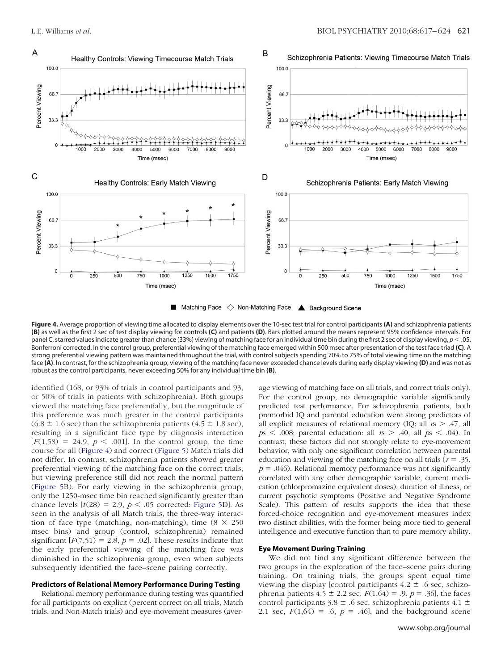

**Figure 4.** Average proportion of viewing time allocated to display elements over the 10-sec test trial for control participants **(A)** and schizophrenia patients **(B)** as well as the first 2 sec of test display viewing for controls **(C)** and patients **(D)**. Bars plotted around the means represent 95% confidence intervals. For panel C, starred values indicate greater than chance (33%) viewing of matching face for an individual time bin during the first 2 sec of display viewing,  $p < 0.05$ , Bonferroni corrected. In the control group, preferential viewing of the matching face emerged within 500 msec after presentation of the test face triad **(C)**. A strong preferential viewing pattern was maintained throughout the trial, with control subjects spending 70% to 75% of total viewing time on the matching face **(A)**. In contrast, for the schizophrenia group, viewing of the matching face never exceeded chance levels during early display viewing **(D)** and was not as robust as the control participants, never exceeding 50% for any individual time bin **(B)**.

identified (168, or 93% of trials in control participants and 93, or 50% of trials in patients with schizophrenia). Both groups viewed the matching face preferentially, but the magnitude of this preference was much greater in the control participants  $(6.8 \pm 1.6 \text{ sec})$  than the schizophrenia patients  $(4.5 \pm 1.8 \text{ sec})$ , resulting in a significant face type by diagnosis interaction  $[F(1,58) = 24.9, p < .001]$ . In the control group, the time course for all (Figure 4) and correct (Figure 5) Match trials did not differ. In contrast, schizophrenia patients showed greater preferential viewing of the matching face on the correct trials, but viewing preference still did not reach the normal pattern (Figure 5B). For early viewing in the schizophrenia group, only the 1250-msec time bin reached significantly greater than chance levels  $[t(28) = 2.9, p < .05$  corrected: Figure 5D]. As seen in the analysis of all Match trials, the three-way interaction of face type (matching, non-matching), time  $(8 \times 250)$ msec bins) and group (control, schizophrenia) remained significant  $[F(7,51) = 2.8, p = .02]$ . These results indicate that the early preferential viewing of the matching face was diminished in the schizophrenia group, even when subjects subsequently identified the face–scene pairing correctly.

## **Predictors of Relational Memory Performance During Testing**

Relational memory performance during testing was quantified for all participants on explicit (percent correct on all trials, Match trials, and Non*-*Match trials) and eye-movement measures (aver-

age viewing of matching face on all trials, and correct trials only). For the control group, no demographic variable significantly predicted test performance. For schizophrenia patients, both premorbid IQ and parental education were strong predictors of all explicit measures of relational memory (IQ: all  $r s > .47$ , all  $p s < .008$ ; parental education: all  $r s > .40$ , all  $p s < .04$ ). In contrast, these factors did not strongly relate to eye-movement behavior, with only one significant correlation between parental education and viewing of the matching face on all trials ( $r = .35$ ,  $p = .046$ ). Relational memory performance was not significantly correlated with any other demographic variable, current medication (chlorpromazine equivalent doses), duration of illness, or current psychotic symptoms (Positive and Negative Syndrome Scale). This pattern of results supports the idea that these forced-choice recognition and eye-movement measures index two distinct abilities, with the former being more tied to general intelligence and executive function than to pure memory ability.

#### **Eye Movement During Training**

We did not find any significant difference between the two groups in the exploration of the face–scene pairs during training. On training trials, the groups spent equal time viewing the display [control participants  $4.2 \pm .6$  sec, schizophrenia patients  $4.5 \pm 2.2$  sec,  $F(1,64) = .9$ ,  $p = .36$ , the faces control participants  $3.8 \pm .6$  sec, schizophrenia patients  $4.1 \pm$ 2.1 sec,  $F(1,64) = .6$ ,  $p = .46$ ], and the background scene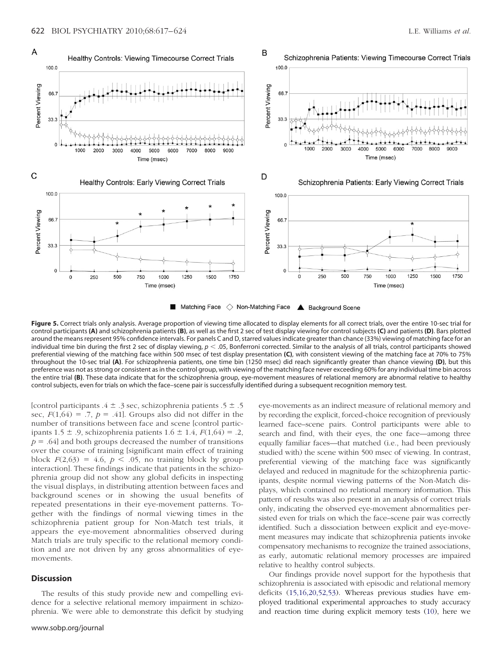

**Figure 5.** Correct trials only analysis. Average proportion of viewing time allocated to display elements for all correct trials, over the entire 10-sec trial for control participants **(A)** and schizophrenia patients **(B)**, as well as the first 2 sec of test display viewing for control subjects **(C)** and patients **(D)**. Bars plotted around the means represent 95% confidence intervals. For panels C and D, starred values indicate greater than chance (33%) viewing of matching face for an individual time bin during the first 2 sec of display viewing,  $p < .05$ , Bonferroni corrected. Similar to the analysis of all trials, control participants showed preferential viewing of the matching face within 500 msec of test display presentation **(C)**, with consistent viewing of the matching face at 70% to 75% throughout the 10-sec trial **(A)**. For schizophrenia patients, one time bin (1250 msec) did reach significantly greater than chance viewing **(D)**, but this preference was not as strong or consistent as in the control group, with viewing of the matching face never exceeding 60% for any individual time bin across the entire trial **(B)**. These data indicate that for the schizophrenia group, eye-movement measures of relational memory are abnormal relative to healthy control subjects, even for trials on which the face–scene pair is successfully identified during a subsequent recognition memory test.

[control participants  $.4 \pm .3$  sec, schizophrenia patients  $.5 \pm .5$ sec,  $F(1,64) = .7$ ,  $p = .41$ . Groups also did not differ in the number of transitions between face and scene [control participants 1.5  $\pm$  .9, schizophrenia patients 1.6  $\pm$  1.4,  $F(1,64) = .2$ ,  $p = .64$ ] and both groups decreased the number of transitions over the course of training [significant main effect of training block  $F(2,63) = 4.6$ ,  $p < .05$ , no training block by group interaction]. These findings indicate that patients in the schizophrenia group did not show any global deficits in inspecting the visual displays, in distributing attention between faces and background scenes or in showing the usual benefits of repeated presentations in their eye-movement patterns. Together with the findings of normal viewing times in the schizophrenia patient group for Non*-*Match test trials, it appears the eye-movement abnormalities observed during Match trials are truly specific to the relational memory condition and are not driven by any gross abnormalities of eyemovements.

## **Discussion**

The results of this study provide new and compelling evidence for a selective relational memory impairment in schizophrenia. We were able to demonstrate this deficit by studying

eye-movements as an indirect measure of relational memory and by recording the explicit, forced-choice recognition of previously learned face–scene pairs. Control participants were able to search and find, with their eyes, the one face—among three equally familiar faces—that matched (i.e., had been previously studied with) the scene within 500 msec of viewing. In contrast, preferential viewing of the matching face was significantly delayed and reduced in magnitude for the schizophrenia participants, despite normal viewing patterns of the Non*-*Match displays, which contained no relational memory information. This pattern of results was also present in an analysis of correct trials only, indicating the observed eye-movement abnormalities persisted even for trials on which the face–scene pair was correctly identified. Such a dissociation between explicit and eye-movement measures may indicate that schizophrenia patients invoke compensatory mechanisms to recognize the trained associations, as early, automatic relational memory processes are impaired relative to healthy control subjects.

Our findings provide novel support for the hypothesis that schizophrenia is associated with episodic and relational memory deficits (15,16,20,52,53). Whereas previous studies have employed traditional experimental approaches to study accuracy and reaction time during explicit memory tests (10), here we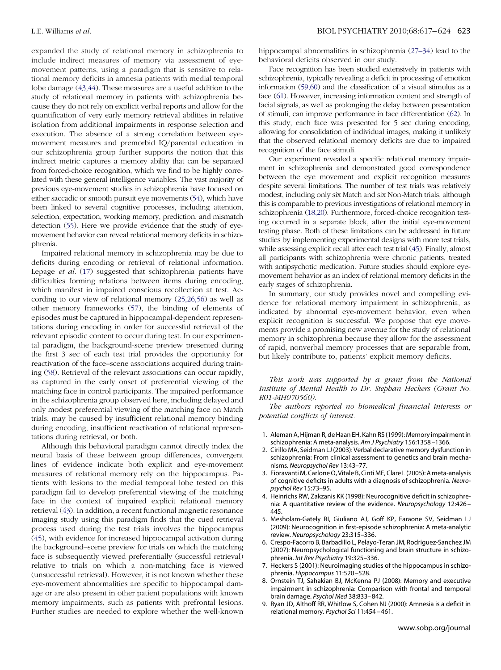expanded the study of relational memory in schizophrenia to include indirect measures of memory via assessment of eyemovement patterns, using a paradigm that is sensitive to relational memory deficits in amnesia patients with medial temporal lobe damage (43,44). These measures are a useful addition to the study of relational memory in patients with schizophrenia because they do not rely on explicit verbal reports and allow for the quantification of very early memory retrieval abilities in relative isolation from additional impairments in response selection and execution. The absence of a strong correlation between eyemovement measures and premorbid IQ/parental education in our schizophrenia group further supports the notion that this indirect metric captures a memory ability that can be separated from forced-choice recognition, which we find to be highly correlated with these general intelligence variables. The vast majority of previous eye-movement studies in schizophrenia have focused on either saccadic or smooth pursuit eye movements (54), which have been linked to several cognitive processes, including attention, selection, expectation, working memory, prediction, and mismatch detection (55). Here we provide evidence that the study of eyemovement behavior can reveal relational memory deficits in schizophrenia.

Impaired relational memory in schizophrenia may be due to deficits during encoding or retrieval of relational information. Lepage *et al.* (17) suggested that schizophrenia patients have difficulties forming relations between items during encoding, which manifest in impaired conscious recollection at test. According to our view of relational memory (25,26,56) as well as other memory frameworks (57), the binding of elements of episodes must be captured in hippocampal-dependent representations during encoding in order for successful retrieval of the relevant episodic content to occur during test. In our experimental paradigm, the background-scene preview presented during the first 3 sec of each test trial provides the opportunity for reactivation of the face–scene associations acquired during training (58). Retrieval of the relevant associations can occur rapidly, as captured in the early onset of preferential viewing of the matching face in control participants. The impaired performance in the schizophrenia group observed here, including delayed and only modest preferential viewing of the matching face on Match trials, may be caused by insufficient relational memory binding during encoding, insufficient reactivation of relational representations during retrieval, or both.

Although this behavioral paradigm cannot directly index the neural basis of these between group differences, convergent lines of evidence indicate both explicit and eye-movement measures of relational memory rely on the hippocampus. Patients with lesions to the medial temporal lobe tested on this paradigm fail to develop preferential viewing of the matching face in the context of impaired explicit relational memory retrieval (43). In addition, a recent functional magnetic resonance imaging study using this paradigm finds that the cued retrieval process used during the test trials involves the hippocampus (45), with evidence for increased hippocampal activation during the background–scene preview for trials on which the matching face is subsequently viewed preferentially (successful retrieval) relative to trials on which a non-matching face is viewed (unsuccessful retrieval). However, it is not known whether these eye-movement abnormalities are specific to hippocampal damage or are also present in other patient populations with known memory impairments, such as patients with prefrontal lesions. Further studies are needed to explore whether the well-known

hippocampal abnormalities in schizophrenia (27–34) lead to the behavioral deficits observed in our study.

Face recognition has been studied extensively in patients with schizophrenia, typically revealing a deficit in processing of emotion information (59,60) and the classification of a visual stimulus as a face (61). However, increasing information content and strength of facial signals, as well as prolonging the delay between presentation of stimuli, can improve performance in face differentiation (62). In this study, each face was presented for 5 sec during encoding, allowing for consolidation of individual images, making it unlikely that the observed relational memory deficits are due to impaired recognition of the face stimuli.

Our experiment revealed a specific relational memory impairment in schizophrenia and demonstrated good correspondence between the eye movement and explicit recognition measures despite several limitations. The number of test trials was relatively modest, including only six Match and six Non*-*Match trials, although this is comparable to previous investigations of relational memory in schizophrenia (18,20). Furthermore, forced-choice recognition testing occurred in a separate block, after the initial eye-movement testing phase. Both of these limitations can be addressed in future studies by implementing experimental designs with more test trials, while assessing explicit recall after each test trial (45). Finally, almost all participants with schizophrenia were chronic patients, treated with antipsychotic medication. Future studies should explore eyemovement behavior as an index of relational memory deficits in the early stages of schizophrenia.

In summary, our study provides novel and compelling evidence for relational memory impairment in schizophrenia, as indicated by abnormal eye-movement behavior, even when explicit recognition is successful. We propose that eye movements provide a promising new avenue for the study of relational memory in schizophrenia because they allow for the assessment of rapid, nonverbal memory processes that are separable from, but likely contribute to, patients' explicit memory deficits.

*This work was supported by a grant from the National Institute of Mental Health to Dr. Stephan Heckers (Grant No. R01-MH070560).*

*The authors reported no biomedical financial interests or potential conflicts of interest.*

- 1. Aleman A, Hijman R, de Haan EH, Kahn RS (1999): Memory impairment in schizophrenia: A meta-analysis. *Am J Psychiatry* 156:1358 –1366.
- 2. Cirillo MA, Seidman LJ (2003): Verbal declarative memory dysfunction in schizophrenia: From clinical assessment to genetics and brain mechanisms. *Neuropsychol Rev* 13:43–77.
- 3. Fioravanti M, Carlone O, Vitale B, Cinti ME, Clare L(2005): A meta-analysis of cognitive deficits in adults with a diagnosis of schizophrenia. *Neuropsychol Rev* 15:73–95.
- 4. Heinrichs RW, Zakzanis KK (1998): Neurocognitive deficit in schizophrenia: A quantitative review of the evidence. *Neuropsychology* 12:426 – 445.
- 5. Mesholam-Gately RI, Giuliano AJ, Goff KP, Faraone SV, Seidman LJ (2009): Neurocognition in first-episode schizophrenia: A meta-analytic review. *Neuropsychology* 23:315–336.
- 6. Crespo-Facorro B, Barbadillo L, Pelayo-Teran JM, Rodriguez-Sanchez JM (2007): Neuropsychological functioning and brain structure in schizophrenia. *Int Rev Psychiatry* 19:325–336.
- 7. Heckers S (2001): Neuroimaging studies of the hippocampus in schizophrenia. *Hippocampus* 11:520 –528.
- 8. Ornstein TJ, Sahakian BJ, McKenna PJ (2008): Memory and executive impairment in schizophrenia: Comparison with frontal and temporal brain damage. *Psychol Med* 38:833– 842.
- 9. Ryan JD, Althoff RR, Whitlow S, Cohen NJ (2000): Amnesia is a deficit in relational memory. *Psychol Sci* 11:454 – 461.